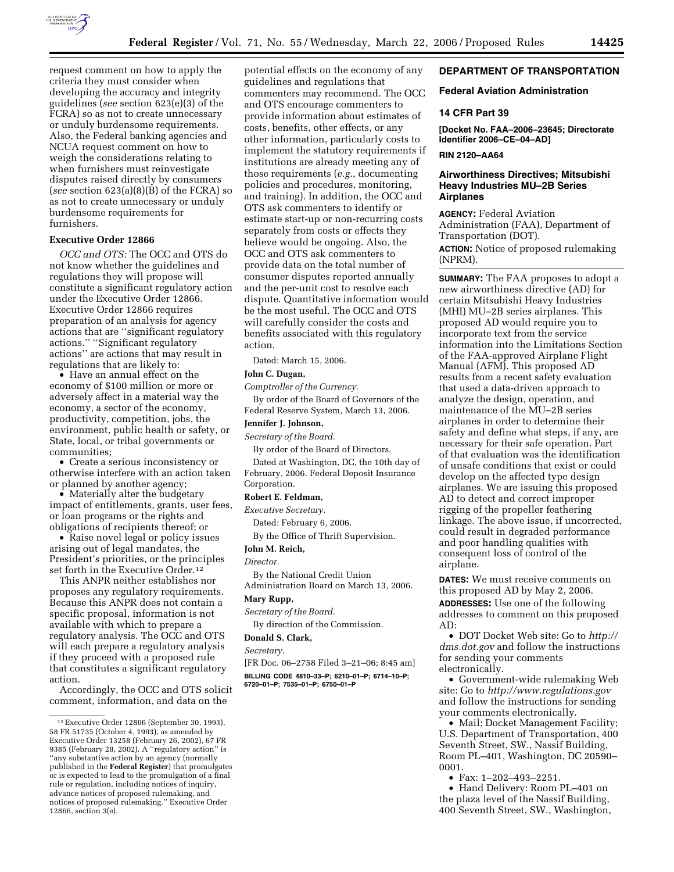

request comment on how to apply the criteria they must consider when developing the accuracy and integrity guidelines (*see* section 623(e)(3) of the FCRA) so as not to create unnecessary or unduly burdensome requirements. Also, the Federal banking agencies and NCUA request comment on how to weigh the considerations relating to when furnishers must reinvestigate disputes raised directly by consumers (*see* section 623(a)(8)(B) of the FCRA) so as not to create unnecessary or unduly burdensome requirements for furnishers.

## **Executive Order 12866**

*OCC and OTS:* The OCC and OTS do not know whether the guidelines and regulations they will propose will constitute a significant regulatory action under the Executive Order 12866. Executive Order 12866 requires preparation of an analysis for agency actions that are ''significant regulatory actions.'' ''Significant regulatory actions'' are actions that may result in regulations that are likely to:

• Have an annual effect on the economy of \$100 million or more or adversely affect in a material way the economy, a sector of the economy, productivity, competition, jobs, the environment, public health or safety, or State, local, or tribal governments or communities;

• Create a serious inconsistency or otherwise interfere with an action taken or planned by another agency;

• Materially alter the budgetary impact of entitlements, grants, user fees, or loan programs or the rights and obligations of recipients thereof; or

• Raise novel legal or policy issues arising out of legal mandates, the President's priorities, or the principles set forth in the Executive Order.<sup>12</sup>

This ANPR neither establishes nor proposes any regulatory requirements. Because this ANPR does not contain a specific proposal, information is not available with which to prepare a regulatory analysis. The OCC and OTS will each prepare a regulatory analysis if they proceed with a proposed rule that constitutes a significant regulatory action.

Accordingly, the OCC and OTS solicit comment, information, and data on the

potential effects on the economy of any guidelines and regulations that commenters may recommend. The OCC and OTS encourage commenters to provide information about estimates of costs, benefits, other effects, or any other information, particularly costs to implement the statutory requirements if institutions are already meeting any of those requirements (*e.g.*, documenting policies and procedures, monitoring, and training). In addition, the OCC and OTS ask commenters to identify or estimate start-up or non-recurring costs separately from costs or effects they believe would be ongoing. Also, the OCC and OTS ask commenters to provide data on the total number of consumer disputes reported annually and the per-unit cost to resolve each dispute. Quantitative information would be the most useful. The OCC and OTS will carefully consider the costs and benefits associated with this regulatory action.

Dated: March 15, 2006.

# **John C. Dugan,**

*Comptroller of the Currency.* 

By order of the Board of Governors of the Federal Reserve System, March 13, 2006.

## **Jennifer J. Johnson,**

*Secretary of the Board.* 

By order of the Board of Directors.

Dated at Washington, DC, the 10th day of February, 2006. Federal Deposit Insurance Corporation.

## **Robert E. Feldman,**

*Executive Secretary.* 

Dated: February 6, 2006.

By the Office of Thrift Supervision.

### **John M. Reich,**

## *Director.*

By the National Credit Union

Administration Board on March 13, 2006.

# **Mary Rupp,**

*Secretary of the Board.* 

By direction of the Commission.

# **Donald S. Clark,**

*Secretary.* 

[FR Doc. 06–2758 Filed 3–21–06; 8:45 am]

**BILLING CODE 4810–33–P; 6210–01–P; 6714–10–P; 6720–01–P; 7535–01–P; 6750–01–P** 

## **DEPARTMENT OF TRANSPORTATION**

## **Federal Aviation Administration**

### **14 CFR Part 39**

**[Docket No. FAA–2006–23645; Directorate Identifier 2006–CE–04–AD]** 

## **RIN 2120–AA64**

# **Airworthiness Directives; Mitsubishi Heavy Industries MU–2B Series Airplanes**

**AGENCY:** Federal Aviation Administration (FAA), Department of Transportation (DOT). **ACTION:** Notice of proposed rulemaking (NPRM).

**SUMMARY:** The FAA proposes to adopt a new airworthiness directive (AD) for certain Mitsubishi Heavy Industries (MHI) MU–2B series airplanes. This proposed AD would require you to incorporate text from the service information into the Limitations Section of the FAA-approved Airplane Flight Manual (AFM). This proposed AD results from a recent safety evaluation that used a data-driven approach to analyze the design, operation, and maintenance of the MU–2B series airplanes in order to determine their safety and define what steps, if any, are necessary for their safe operation. Part of that evaluation was the identification of unsafe conditions that exist or could develop on the affected type design airplanes. We are issuing this proposed AD to detect and correct improper rigging of the propeller feathering linkage. The above issue, if uncorrected, could result in degraded performance and poor handling qualities with consequent loss of control of the airplane.

**DATES:** We must receive comments on this proposed AD by May 2, 2006.

**ADDRESSES:** Use one of the following addresses to comment on this proposed AD:

• DOT Docket Web site: Go to *http:// dms.dot.gov* and follow the instructions for sending your comments electronically.

• Government-wide rulemaking Web site: Go to *http://www.regulations.gov*  and follow the instructions for sending your comments electronically.

• Mail: Docket Management Facility; U.S. Department of Transportation, 400 Seventh Street, SW., Nassif Building, Room PL–401, Washington, DC 20590– 0001.

• Fax: 1–202–493–2251.

• Hand Delivery: Room PL–401 on the plaza level of the Nassif Building, 400 Seventh Street, SW., Washington,

<sup>12</sup>Executive Order 12866 (September 30, 1993), 58 FR 51735 (October 4, 1993), as amended by Executive Order 13258 (February 26, 2002), 67 FR 9385 (February 28, 2002). A ''regulatory action'' is ''any substantive action by an agency (normally published in the **Federal Register**) that promulgates or is expected to lead to the promulgation of a final rule or regulation, including notices of inquiry, advance notices of proposed rulemaking, and notices of proposed rulemaking.'' Executive Order 12866, section 3(e).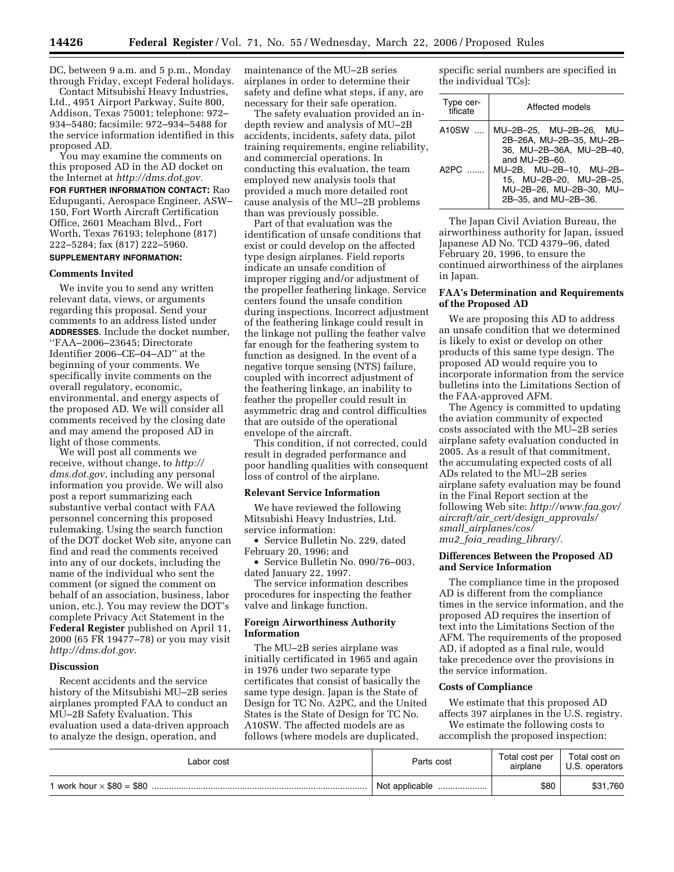DC, between 9 a.m. and 5 p.m., Monday through Friday, except Federal holidays.

Contact Mitsubishi Heavy Industries, Ltd., 4951 Airport Parkway, Suite 800, Addison, Texas 75001; telephone: 972– 934–5480; facsimile: 972–934–5488 for the service information identified in this proposed AD.

You may examine the comments on this proposed AD in the AD docket on the Internet at *http://dms.dot.gov.* 

**FOR FURTHER INFORMATION CONTACT:** Rao Edupuganti, Aerospace Engineer, ASW– 150, Fort Worth Aircraft Certification Office, 2601 Meacham Blvd., Fort Worth, Texas 76193; telephone (817) 222–5284; fax (817) 222–5960. **SUPPLEMENTARY INFORMATION:** 

### **Comments Invited**

We invite you to send any written relevant data, views, or arguments regarding this proposal. Send your comments to an address listed under **ADDRESSES**. Include the docket number, ''FAA–2006–23645; Directorate Identifier 2006–CE–04–AD'' at the beginning of your comments. We specifically invite comments on the overall regulatory, economic, environmental, and energy aspects of the proposed AD. We will consider all comments received by the closing date and may amend the proposed AD in light of those comments.

We will post all comments we receive, without change, to *http:// dms.dot.gov*, including any personal information you provide. We will also post a report summarizing each substantive verbal contact with FAA personnel concerning this proposed rulemaking. Using the search function of the DOT docket Web site, anyone can find and read the comments received into any of our dockets, including the name of the individual who sent the comment (or signed the comment on behalf of an association, business, labor union, etc.). You may review the DOT's complete Privacy Act Statement in the **Federal Register** published on April 11, 2000 (65 FR 19477–78) or you may visit *http://dms.dot.gov.* 

# **Discussion**

Recent accidents and the service history of the Mitsubishi MU–2B series airplanes prompted FAA to conduct an MU–2B Safety Evaluation. This evaluation used a data-driven approach to analyze the design, operation, and

maintenance of the MU–2B series airplanes in order to determine their safety and define what steps, if any, are necessary for their safe operation.

The safety evaluation provided an indepth review and analysis of MU–2B accidents, incidents, safety data, pilot training requirements, engine reliability, and commercial operations. In conducting this evaluation, the team employed new analysis tools that provided a much more detailed root cause analysis of the MU–2B problems than was previously possible.

Part of that evaluation was the identification of unsafe conditions that exist or could develop on the affected type design airplanes. Field reports indicate an unsafe condition of improper rigging and/or adjustment of the propeller feathering linkage. Service centers found the unsafe condition during inspections. Incorrect adjustment of the feathering linkage could result in the linkage not pulling the feather valve far enough for the feathering system to function as designed. In the event of a negative torque sensing (NTS) failure, coupled with incorrect adjustment of the feathering linkage, an inability to feather the propeller could result in asymmetric drag and control difficulties that are outside of the operational envelope of the aircraft.

This condition, if not corrected, could result in degraded performance and poor handling qualities with consequent loss of control of the airplane.

#### **Relevant Service Information**

We have reviewed the following Mitsubishi Heavy Industries, Ltd. service information:

• Service Bulletin No. 229, dated February 20, 1996; and

• Service Bulletin No. 090/76–003, dated January 22, 1997.

The service information describes procedures for inspecting the feather valve and linkage function.

## **Foreign Airworthiness Authority Information**

The MU–2B series airplane was initially certificated in 1965 and again in 1976 under two separate type certificates that consist of basically the same type design. Japan is the State of Design for TC No. A2PC, and the United States is the State of Design for TC No. A10SW. The affected models are as follows (where models are duplicated,

specific serial numbers are specified in the individual TCs):

| Type cer-<br>tificate | Affected models                                                                                                                                                                                              |  |
|-----------------------|--------------------------------------------------------------------------------------------------------------------------------------------------------------------------------------------------------------|--|
| A10SW<br>$A$ 2 $PC$   | MU-2B-25. MU-2B-26. MU-<br>2B-26A, MU-2B-35, MU-2B-<br>36. MU-2B-36A. MU-2B-40.<br>and $MU-2B-60$ .<br>MU-2B, MU-2B-10, MU-2B-<br>15, MU-2B-20, MU-2B-25,<br>MU-2B-26. MU-2B-30. MU-<br>2B-35, and MU-2B-36. |  |

The Japan Civil Aviation Bureau, the airworthiness authority for Japan, issued Japanese AD No. TCD 4379–96, dated February 20, 1996, to ensure the continued airworthiness of the airplanes in Japan.

## **FAA's Determination and Requirements of the Proposed AD**

We are proposing this AD to address an unsafe condition that we determined is likely to exist or develop on other products of this same type design. The proposed AD would require you to incorporate information from the service bulletins into the Limitations Section of the FAA-approved AFM.

The Agency is committed to updating the aviation community of expected costs associated with the MU–2B series airplane safety evaluation conducted in 2005. As a result of that commitment, the accumulating expected costs of all ADs related to the MU–2B series airplane safety evaluation may be found in the Final Report section at the following Web site: *http://www.faa.gov/ aircraft/air*\_*cert/design*\_*approvals/ small*\_*airplanes/cos/ mu2*\_*foia*\_*reading*\_*library/.* 

# **Differences Between the Proposed AD and Service Information**

The compliance time in the proposed AD is different from the compliance times in the service information, and the proposed AD requires the insertion of text into the Limitations Section of the AFM. The requirements of the proposed AD, if adopted as a final rule, would take precedence over the provisions in the service information.

#### **Costs of Compliance**

We estimate that this proposed AD affects 397 airplanes in the U.S. registry. We estimate the following costs to accomplish the proposed inspection:

| Labor cost | Parts cost         | Total cost per<br>airplane | Total cost on<br>U.S. operators |
|------------|--------------------|----------------------------|---------------------------------|
|            | Not applicable<br> | \$80                       | \$31,760                        |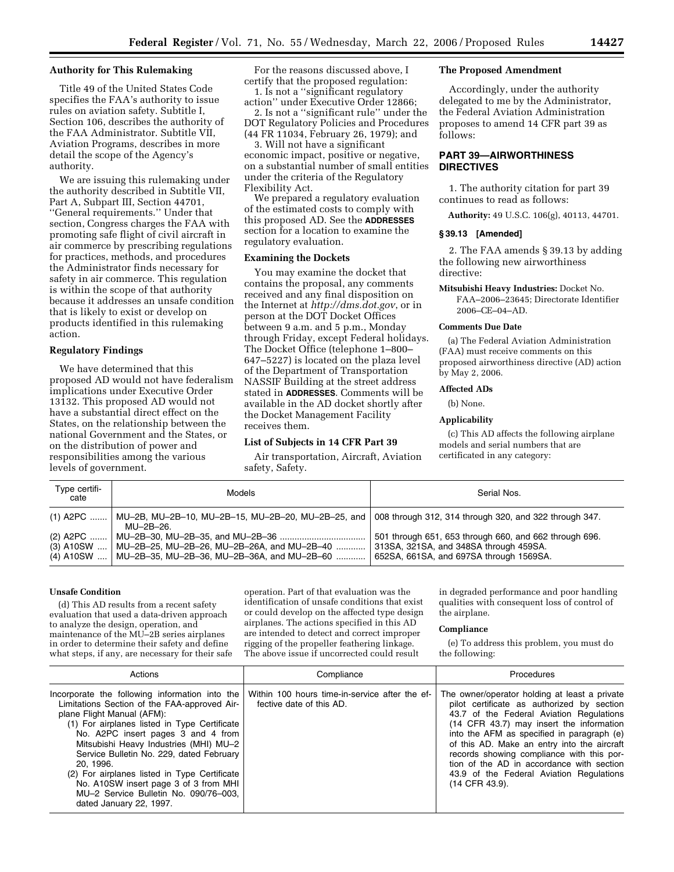## **Authority for This Rulemaking**

Title 49 of the United States Code specifies the FAA's authority to issue rules on aviation safety. Subtitle I, Section 106, describes the authority of the FAA Administrator. Subtitle VII, Aviation Programs, describes in more detail the scope of the Agency's authority.

We are issuing this rulemaking under the authority described in Subtitle VII, Part A, Subpart III, Section 44701, ''General requirements.'' Under that section, Congress charges the FAA with promoting safe flight of civil aircraft in air commerce by prescribing regulations for practices, methods, and procedures the Administrator finds necessary for safety in air commerce. This regulation is within the scope of that authority because it addresses an unsafe condition that is likely to exist or develop on products identified in this rulemaking action.

## **Regulatory Findings**

We have determined that this proposed AD would not have federalism implications under Executive Order 13132. This proposed AD would not have a substantial direct effect on the States, on the relationship between the national Government and the States, or on the distribution of power and responsibilities among the various levels of government.

For the reasons discussed above, I certify that the proposed regulation:

1. Is not a ''significant regulatory action'' under Executive Order 12866; 2. Is not a ''significant rule'' under the DOT Regulatory Policies and Procedures (44 FR 11034, February 26, 1979); and

3. Will not have a significant economic impact, positive or negative, on a substantial number of small entities under the criteria of the Regulatory Flexibility Act.

We prepared a regulatory evaluation of the estimated costs to comply with this proposed AD. See the **ADDRESSES** section for a location to examine the regulatory evaluation.

## **Examining the Dockets**

You may examine the docket that contains the proposal, any comments received and any final disposition on the Internet at *http://dms.dot.gov*, or in person at the DOT Docket Offices between 9 a.m. and 5 p.m., Monday through Friday, except Federal holidays. The Docket Office (telephone 1–800– 647–5227) is located on the plaza level of the Department of Transportation NASSIF Building at the street address stated in **ADDRESSES**. Comments will be available in the AD docket shortly after the Docket Management Facility receives them.

### **List of Subjects in 14 CFR Part 39**

Air transportation, Aircraft, Aviation safety, Safety.

### **The Proposed Amendment**

Accordingly, under the authority delegated to me by the Administrator, the Federal Aviation Administration proposes to amend 14 CFR part 39 as follows:

# **PART 39—AIRWORTHINESS DIRECTIVES**

1. The authority citation for part 39 continues to read as follows:

**Authority:** 49 U.S.C. 106(g), 40113, 44701.

# **§ 39.13 [Amended]**

2. The FAA amends § 39.13 by adding the following new airworthiness directive:

**Mitsubishi Heavy Industries:** Docket No. FAA–2006–23645; Directorate Identifier 2006–CE–04–AD.

### **Comments Due Date**

(a) The Federal Aviation Administration (FAA) must receive comments on this proposed airworthiness directive (AD) action by May 2, 2006.

## **Affected ADs**

(b) None.

#### **Applicability**

(c) This AD affects the following airplane models and serial numbers that are certificated in any category:

| Type certifi-<br>cate                  | Models                                                                                     | Serial Nos.                                                                                                                                 |
|----------------------------------------|--------------------------------------------------------------------------------------------|---------------------------------------------------------------------------------------------------------------------------------------------|
| $(1)$ A2PC                             | MU-2B, MU-2B-10, MU-2B-15, MU-2B-20, MU-2B-25, and<br>MU–2B–26.                            | 008 through 312, 314 through 320, and 322 through 347.                                                                                      |
| (2) A2PC<br>$(3)$ A10SW<br>$(4)$ A10SW | MU-2B-25, MU-2B-26, MU-2B-26A, and MU-2B-40<br>MU-2B-35, MU-2B-36, MU-2B-36A, and MU-2B-60 | 501 through 651, 653 through 660, and 662 through 696.<br>313SA, 321SA, and 348SA through 459SA.<br>652SA, 661SA, and 697SA through 1569SA. |

## **Unsafe Condition**

(d) This AD results from a recent safety evaluation that used a data-driven approach to analyze the design, operation, and maintenance of the MU–2B series airplanes in order to determine their safety and define what steps, if any, are necessary for their safe

operation. Part of that evaluation was the identification of unsafe conditions that exist or could develop on the affected type design airplanes. The actions specified in this AD are intended to detect and correct improper rigging of the propeller feathering linkage. The above issue if uncorrected could result

in degraded performance and poor handling qualities with consequent loss of control of the airplane.

#### **Compliance**

(e) To address this problem, you must do the following:

| Actions                                                                                                                                                                                                                                                                                                                                                                                                                                                                           | Compliance                                                                 | Procedures                                                                                                                                                                                                                                                                                                                                                                                                                               |
|-----------------------------------------------------------------------------------------------------------------------------------------------------------------------------------------------------------------------------------------------------------------------------------------------------------------------------------------------------------------------------------------------------------------------------------------------------------------------------------|----------------------------------------------------------------------------|------------------------------------------------------------------------------------------------------------------------------------------------------------------------------------------------------------------------------------------------------------------------------------------------------------------------------------------------------------------------------------------------------------------------------------------|
| Incorporate the following information into the<br>Limitations Section of the FAA-approved Air-<br>plane Flight Manual (AFM):<br>(1) For airplanes listed in Type Certificate<br>No. A2PC insert pages 3 and 4 from<br>Mitsubishi Heavy Industries (MHI) MU-2<br>Service Bulletin No. 229, dated February<br>20.1996.<br>(2) For airplanes listed in Type Certificate<br>No. A10SW insert page 3 of 3 from MHI<br>MU-2 Service Bulletin No. 090/76-003.<br>dated January 22, 1997. | Within 100 hours time-in-service after the ef-<br>fective date of this AD. | The owner/operator holding at least a private<br>pilot certificate as authorized by section<br>43.7 of the Federal Aviation Regulations<br>(14 CFR 43.7) may insert the information<br>into the AFM as specified in paragraph (e)<br>of this AD. Make an entry into the aircraft<br>records showing compliance with this por-<br>tion of the AD in accordance with section<br>43.9 of the Federal Aviation Regulations<br>(14 CFR 43.9). |